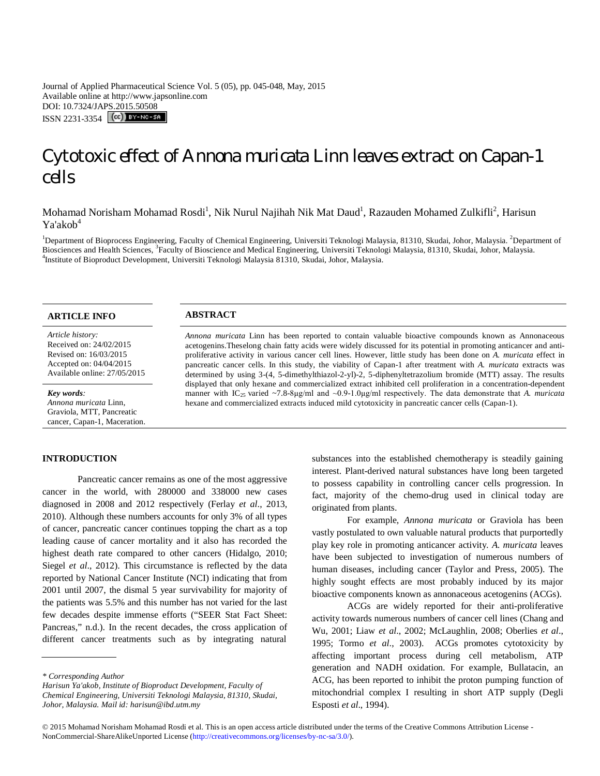Journal of Applied Pharmaceutical Science Vol. 5 (05), pp. 045-048, May, 2015 Available online at http://www.japsonline.com DOI: 10.7324/JAPS.2015.50508 ISSN 2231-3354 (CC) BY-NO-58

# Cytotoxic effect of *Annona muricata* Linn leaves extract on Capan-1 cells

Mohamad Norisham Mohamad Rosdi<sup>1</sup>, Nik Nurul Najihah Nik Mat Daud<sup>1</sup>, Razauden Mohamed Zulkifli<sup>2</sup>, Harisun Ya'akob<sup>4</sup>

<sup>1</sup>Department of Bioprocess Engineering, Faculty of Chemical Engineering, Universiti Teknologi Malaysia, 81310, Skudai, Johor, Malaysia. <sup>2</sup>Department of Biosciences and Health Sciences, <sup>3</sup>Faculty of Bioscience and Medical Engineering, Universiti Teknologi Malaysia, 81310, Skudai, Johor, Malaysia. 4 Institute of Bioproduct Development, Universiti Teknologi Malaysia 81310, Skudai, Johor, Malaysia.

*Article history:* Received on: 24/02/2015 Revised on: 16/03/2015 Accepted on: 04/04/2015 Available online: 27/05/2015

*Key words:* 

*Annona muricata* Linn, Graviola, MTT, Pancreatic cancer, Capan-1, Maceration.

# **INTRODUCTION**

Pancreatic cancer remains as one of the most aggressive cancer in the world, with 280000 and 338000 new cases diagnosed in 2008 and 2012 respectively (Ferlay *et al*., 2013, 2010). Although these numbers accounts for only 3% of all types of cancer, pancreatic cancer continues topping the chart as a top leading cause of cancer mortality and it also has recorded the highest death rate compared to other cancers (Hidalgo, 2010; Siegel *et al*., 2012). This circumstance is reflected by the data reported by National Cancer Institute (NCI) indicating that from 2001 until 2007, the dismal 5 year survivability for majority of the patients was 5.5% and this number has not varied for the last few decades despite immense efforts ("SEER Stat Fact Sheet: Pancreas," n.d.). In the recent decades, the cross application of different cancer treatments such as by integrating natural

*Harisun Ya'akob, Institute of Bioproduct Development, Faculty of Chemical Engineering, Universiti Teknologi Malaysia, 81310, Skudai, Johor, Malaysia. Mail id: harisun@ibd.utm.my*

# **ARTICLE INFO ABSTRACT**

*Annona muricata* Linn has been reported to contain valuable bioactive compounds known as Annonaceous acetogenins.Theselong chain fatty acids were widely discussed for its potential in promoting anticancer and antiproliferative activity in various cancer cell lines. However, little study has been done on *A. muricata* effect in pancreatic cancer cells. In this study, the viability of Capan-1 after treatment with *A. muricata* extracts was determined by using 3-(4, 5-dimethylthiazol-2-yl)-2, 5-diphenyltetrazolium bromide (MTT) assay. The results displayed that only hexane and commercialized extract inhibited cell proliferation in a concentration-dependent manner with IC25 varied ~7.8-8μg/ml and ~0.9-1.0μg/ml respectively. The data demonstrate that *A. muricata* hexane and commercialized extracts induced mild cytotoxicity in pancreatic cancer cells (Capan-1).

> substances into the established chemotherapy is steadily gaining interest. Plant-derived natural substances have long been targeted to possess capability in controlling cancer cells progression. In fact, majority of the chemo-drug used in clinical today are originated from plants.

> For example, *Annona muricata* or Graviola has been vastly postulated to own valuable natural products that purportedly play key role in promoting anticancer activity. *A. muricata* leaves have been subjected to investigation of numerous numbers of human diseases, including cancer (Taylor and Press, 2005). The highly sought effects are most probably induced by its major bioactive components known as annonaceous acetogenins (ACGs).

> ACGs are widely reported for their anti-proliferative activity towards numerous numbers of cancer cell lines (Chang and Wu, 2001; Liaw *et al*., 2002; McLaughlin, 2008; Oberlies *et al*., 1995; Tormo *et al*., 2003). ACGs promotes cytotoxicity by affecting important process during cell metabolism, ATP generation and NADH oxidation. For example, Bullatacin, an ACG, has been reported to inhibit the proton pumping function of mitochondrial complex I resulting in short ATP supply (Degli Esposti *et al*., 1994).

*<sup>\*</sup> Corresponding Author*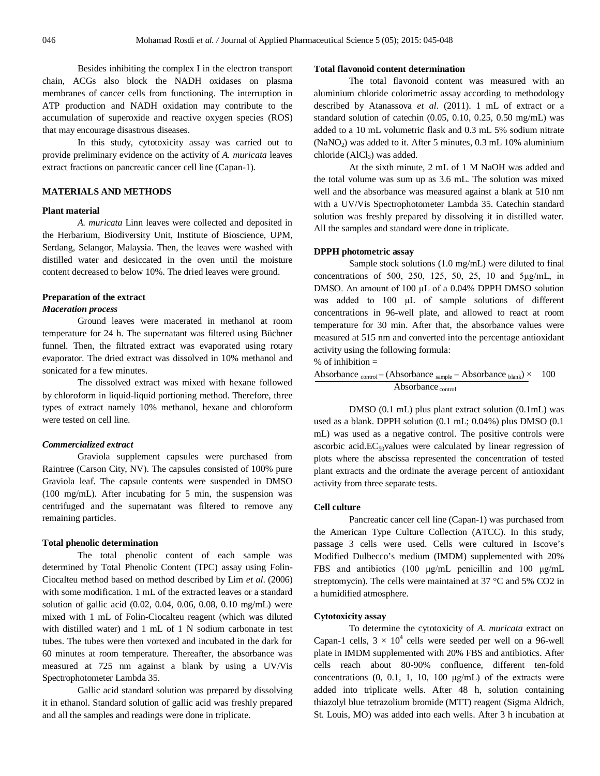Besides inhibiting the complex I in the electron transport chain, ACGs also block the NADH oxidases on plasma membranes of cancer cells from functioning. The interruption in ATP production and NADH oxidation may contribute to the accumulation of superoxide and reactive oxygen species (ROS) that may encourage disastrous diseases.

In this study, cytotoxicity assay was carried out to provide preliminary evidence on the activity of *A. muricata* leaves extract fractions on pancreatic cancer cell line (Capan-1).

# **MATERIALS AND METHODS**

# **Plant material**

*A. muricata* Linn leaves were collected and deposited in the Herbarium, Biodiversity Unit, Institute of Bioscience, UPM, Serdang, Selangor, Malaysia. Then, the leaves were washed with distilled water and desiccated in the oven until the moisture content decreased to below 10%. The dried leaves were ground.

# **Preparation of the extract**

#### *Maceration process*

Ground leaves were macerated in methanol at room temperature for 24 h. The supernatant was filtered using Büchner funnel. Then, the filtrated extract was evaporated using rotary evaporator. The dried extract was dissolved in 10% methanol and sonicated for a few minutes.

The dissolved extract was mixed with hexane followed by chloroform in liquid-liquid portioning method. Therefore, three types of extract namely 10% methanol, hexane and chloroform were tested on cell line.

### *Commercialized extract*

Graviola supplement capsules were purchased from Raintree (Carson City, NV). The capsules consisted of 100% pure Graviola leaf. The capsule contents were suspended in DMSO (100 mg/mL). After incubating for 5 min, the suspension was centrifuged and the supernatant was filtered to remove any remaining particles.

### **Total phenolic determination**

The total phenolic content of each sample was determined by Total Phenolic Content (TPC) assay using Folin-Ciocalteu method based on method described by Lim *et al*. (2006) with some modification. 1 mL of the extracted leaves or a standard solution of gallic acid (0.02, 0.04, 0.06, 0.08, 0.10 mg/mL) were mixed with 1 mL of Folin-Ciocalteu reagent (which was diluted with distilled water) and 1 mL of 1 N sodium carbonate in test tubes. The tubes were then vortexed and incubated in the dark for 60 minutes at room temperature. Thereafter, the absorbance was measured at 725 nm against a blank by using a UV/Vis Spectrophotometer Lambda 35.

Gallic acid standard solution was prepared by dissolving it in ethanol. Standard solution of gallic acid was freshly prepared and all the samples and readings were done in triplicate.

#### **Total flavonoid content determination**

The total flavonoid content was measured with an aluminium chloride colorimetric assay according to methodology described by Atanassova *et al*. (2011). 1 mL of extract or a standard solution of catechin (0.05, 0.10, 0.25, 0.50 mg/mL) was added to a 10 mL volumetric flask and 0.3 mL 5% sodium nitrate  $(NaNO<sub>2</sub>)$  was added to it. After 5 minutes, 0.3 mL 10% aluminium chloride  $(AlCl<sub>3</sub>)$  was added.

At the sixth minute, 2 mL of 1 M NaOH was added and the total volume was sum up as 3.6 mL. The solution was mixed well and the absorbance was measured against a blank at 510 nm with a UV/Vis Spectrophotometer Lambda 35. Catechin standard solution was freshly prepared by dissolving it in distilled water. All the samples and standard were done in triplicate.

#### **DPPH photometric assay**

Sample stock solutions (1.0 mg/mL) were diluted to final concentrations of 500, 250, 125, 50, 25, 10 and 5μg/mL, in DMSO. An amount of 100 μL of a 0.04% DPPH DMSO solution was added to 100 μL of sample solutions of different concentrations in 96-well plate, and allowed to react at room temperature for 30 min. After that, the absorbance values were measured at 515 nm and converted into the percentage antioxidant activity using the following formula:

 $%$  of inhibition =

Absorbance  $_{control} - (Absorbane_{sample} - Absorbane_{blank}) \times 100$ Absorbance control

DMSO (0.1 mL) plus plant extract solution (0.1mL) was used as a blank. DPPH solution (0.1 mL; 0.04%) plus DMSO (0.1 mL) was used as a negative control. The positive controls were ascorbic acid. $EC_{50}$ values were calculated by linear regression of plots where the abscissa represented the concentration of tested plant extracts and the ordinate the average percent of antioxidant activity from three separate tests.

# **Cell culture**

Pancreatic cancer cell line (Capan-1) was purchased from the American Type Culture Collection (ATCC). In this study, passage 3 cells were used. Cells were cultured in Iscove's Modified Dulbecco's medium (IMDM) supplemented with 20% FBS and antibiotics (100 μg/mL penicillin and 100 μg/mL streptomycin). The cells were maintained at 37 °C and 5% CO2 in a humidified atmosphere.

# **Cytotoxicity assay**

To determine the cytotoxicity of *A. muricata* extract on Capan-1 cells,  $3 \times 10^4$  cells were seeded per well on a 96-well plate in IMDM supplemented with 20% FBS and antibiotics. After cells reach about 80-90% confluence, different ten-fold concentrations  $(0, 0.1, 1, 10, 100 \mu g/mL)$  of the extracts were added into triplicate wells. After 48 h, solution containing thiazolyl blue tetrazolium bromide (MTT) reagent (Sigma Aldrich, St. Louis, MO) was added into each wells. After 3 h incubation at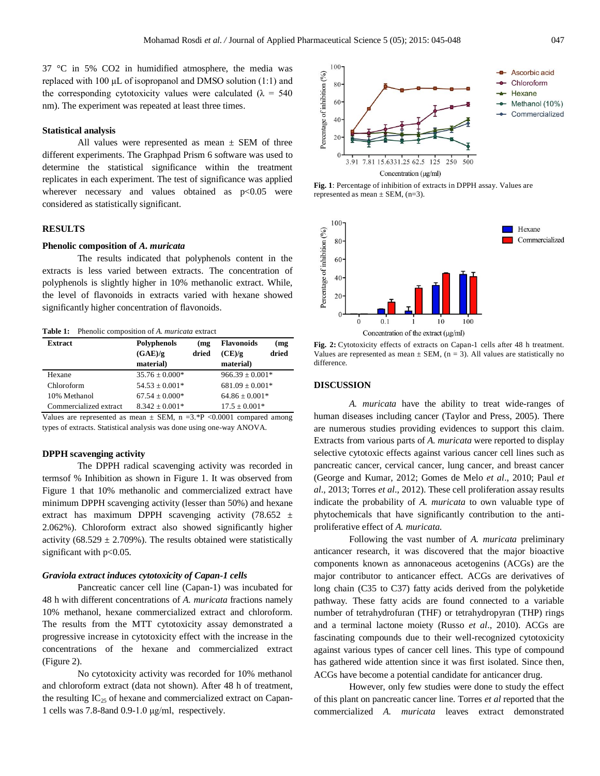37 °C in 5% CO2 in humidified atmosphere, the media was replaced with 100 μL of isopropanol and DMSO solution (1:1) and the corresponding cytotoxicity values were calculated ( $\lambda = 540$ nm). The experiment was repeated at least three times.

# **Statistical analysis**

All values were represented as mean  $\pm$  SEM of three different experiments. The Graphpad Prism 6 software was used to determine the statistical significance within the treatment replicates in each experiment. The test of significance was applied wherever necessary and values obtained as  $p<0.05$  were considered as statistically significant.

# **RESULTS**

# **Phenolic composition of** *A. muricata*

The results indicated that polyphenols content in the extracts is less varied between extracts. The concentration of polyphenols is slightly higher in 10% methanolic extract. While, the level of flavonoids in extracts varied with hexane showed significantly higher concentration of flavonoids.

| <b>Table 1:</b> Phenolic composition of A. <i>muricata</i> extract |  |
|--------------------------------------------------------------------|--|
|--------------------------------------------------------------------|--|

| <b>Extract</b>         | Polyphenols        | (mg   | <b>Flavonoids</b>   | (mg   |
|------------------------|--------------------|-------|---------------------|-------|
|                        | (GAE)/g            | dried | (CE)/g              | dried |
|                        | material)          |       | material)           |       |
| Hexane                 | $35.76 \pm 0.000*$ |       | $966.39 \pm 0.001*$ |       |
| Chloroform             | $54.53 \pm 0.001*$ |       | $681.09 \pm 0.001*$ |       |
| 10% Methanol           | $67.54 + 0.000*$   |       | $64.86 \pm 0.001*$  |       |
| Commercialized extract | $8.342 \pm 0.001*$ |       | $17.5 \pm 0.001*$   |       |

Values are represented as mean  $\pm$  SEM, n =3.\*P <0.0001 compared among types of extracts. Statistical analysis was done using one-way ANOVA.

#### **DPPH scavenging activity**

The DPPH radical scavenging activity was recorded in termsof % Inhibition as shown in Figure 1. It was observed from Figure 1 that 10% methanolic and commercialized extract have minimum DPPH scavenging activity (lesser than 50%) and hexane extract has maximum DPPH scavenging activity (78.652  $\pm$ 2.062%). Chloroform extract also showed significantly higher activity (68.529  $\pm$  2.709%). The results obtained were statistically significant with p<0.05.

#### *Graviola extract induces cytotoxicity of Capan-1 cells*

Pancreatic cancer cell line (Capan-1) was incubated for 48 h with different concentrations of *A. muricata* fractions namely 10% methanol, hexane commercialized extract and chloroform. The results from the MTT cytotoxicity assay demonstrated a progressive increase in cytotoxicity effect with the increase in the concentrations of the hexane and commercialized extract (Figure 2).

No cytotoxicity activity was recorded for 10% methanol and chloroform extract (data not shown). After 48 h of treatment, the resulting  $IC_{25}$  of hexane and commercialized extract on Capan-1 cells was 7.8-8and 0.9-1.0 μg/ml, respectively.



**Fig. 1**: Percentage of inhibition of extracts in DPPH assay. Values are represented as mean  $\pm$  SEM, (n=3).



**Fig. 2:** Cytotoxicity effects of extracts on Capan-1 cells after 48 h treatment. Values are represented as mean  $\pm$  SEM, (n = 3). All values are statistically no difference.

#### **DISCUSSION**

*A. muricata* have the ability to treat wide-ranges of human diseases including cancer (Taylor and Press, 2005). There are numerous studies providing evidences to support this claim. Extracts from various parts of *A. muricata* were reported to display selective cytotoxic effects against various cancer cell lines such as pancreatic cancer, cervical cancer, lung cancer, and breast cancer (George and Kumar, 2012; Gomes de Melo *et al*., 2010; Paul *et al*., 2013; Torres *et al*., 2012). These cell proliferation assay results indicate the probability of *A. muricata* to own valuable type of phytochemicals that have significantly contribution to the antiproliferative effect of *A. muricata.*

Following the vast number of *A. muricata* preliminary anticancer research, it was discovered that the major bioactive components known as annonaceous acetogenins (ACGs) are the major contributor to anticancer effect. ACGs are derivatives of long chain (C35 to C37) fatty acids derived from the polyketide pathway. These fatty acids are found connected to a variable number of tetrahydrofuran (THF) or tetrahydropyran (THP) rings and a terminal lactone moiety (Russo *et al*., 2010). ACGs are fascinating compounds due to their well-recognized cytotoxicity against various types of cancer cell lines. This type of compound has gathered wide attention since it was first isolated. Since then, ACGs have become a potential candidate for anticancer drug.

However, only few studies were done to study the effect of this plant on pancreatic cancer line. Torres *et al* reported that the commercialized *A. muricata* leaves extract demonstrated